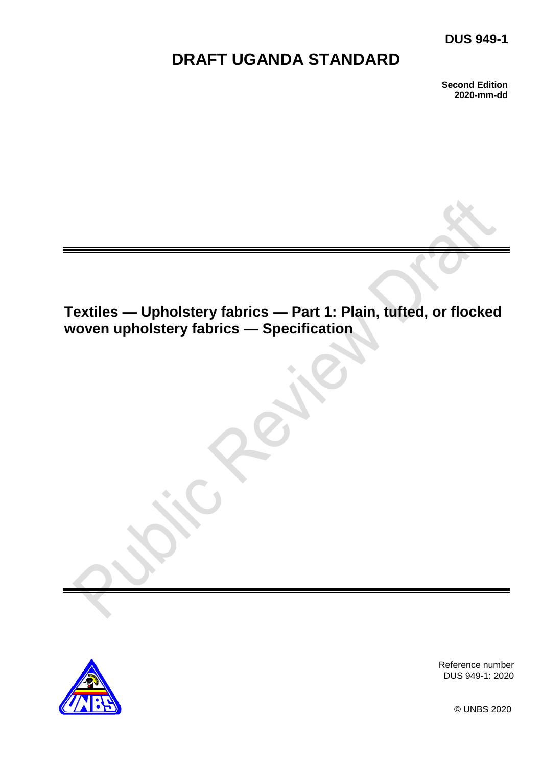# **DUS 949-1**

# **DRAFT UGANDA STANDARD**

**Second Edition 2020-mm-dd**

# **Textiles — Upholstery fabrics — Part 1: Plain, tufted, or flocked woven upholstery fabrics — Specification**



Reference number DUS 949-1: 2020

© UNBS 2020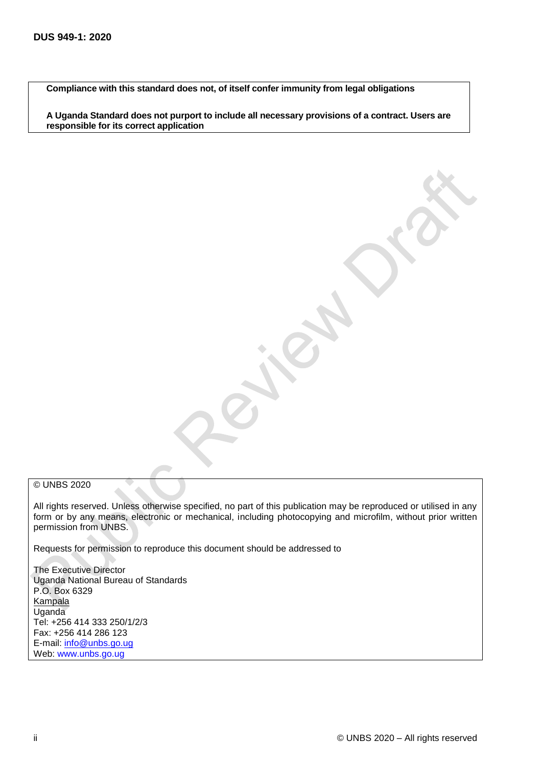**Compliance with this standard does not, of itself confer immunity from legal obligations**

**A Uganda Standard does not purport to include all necessary provisions of a contract. Users are responsible for its correct application**

#### © UNBS 2020

All rights reserved. Unless otherwise specified, no part of this publication may be reproduced or utilised in any form or by any means, electronic or mechanical, including photocopying and microfilm, without prior written permission from UNBS.

Requests for permission to reproduce this document should be addressed to

The Executive Director Uganda National Bureau of Standards P.O. Box 6329 **Kampala** Uganda Tel: +256 414 333 250/1/2/3 Fax: +256 414 286 123 E-mail: [info@unbs.go.ug](mailto:info@unbs.go.ug) Web: www.unbs.go.ug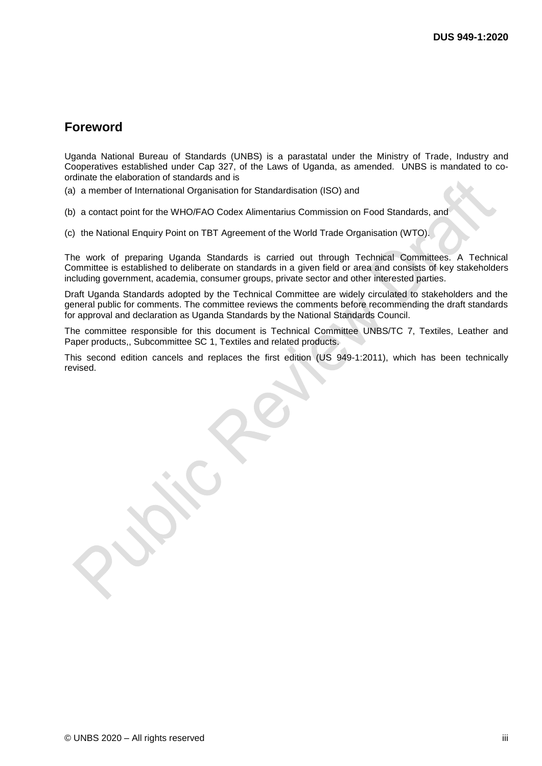## **Foreword**

Uganda National Bureau of Standards (UNBS) is a parastatal under the Ministry of Trade, Industry and Cooperatives established under Cap 327, of the Laws of Uganda, as amended. UNBS is mandated to coordinate the elaboration of standards and is

(a) a member of International Organisation for Standardisation (ISO) and

(b) a contact point for the WHO/FAO Codex Alimentarius Commission on Food Standards, and

(c) the National Enquiry Point on TBT Agreement of the World Trade Organisation (WTO).

The work of preparing Uganda Standards is carried out through Technical Committees. A Technical Committee is established to deliberate on standards in a given field or area and consists of key stakeholders including government, academia, consumer groups, private sector and other interested parties.

Draft Uganda Standards adopted by the Technical Committee are widely circulated to stakeholders and the general public for comments. The committee reviews the comments before recommending the draft standards for approval and declaration as Uganda Standards by the National Standards Council.

The committee responsible for this document is Technical Committee UNBS/TC 7, Textiles, Leather and Paper products,, Subcommittee SC 1, Textiles and related products.

This second edition cancels and replaces the first edition (US 949-1:2011), which has been technically revised.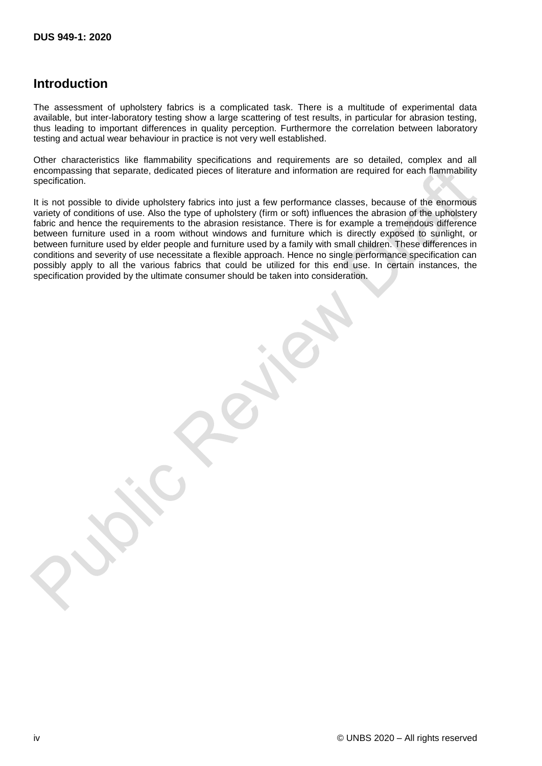# **Introduction**

The assessment of upholstery fabrics is a complicated task. There is a multitude of experimental data available, but inter-laboratory testing show a large scattering of test results, in particular for abrasion testing, thus leading to important differences in quality perception. Furthermore the correlation between laboratory testing and actual wear behaviour in practice is not very well established.

Other characteristics like flammability specifications and requirements are so detailed, complex and all encompassing that separate, dedicated pieces of literature and information are required for each flammability specification.

It is not possible to divide upholstery fabrics into just a few performance classes, because of the enormous variety of conditions of use. Also the type of upholstery (firm or soft) influences the abrasion of the upholstery fabric and hence the requirements to the abrasion resistance. There is for example a tremendous difference between furniture used in a room without windows and furniture which is directly exposed to sunlight, or between furniture used by elder people and furniture used by a family with small children. These differences in conditions and severity of use necessitate a flexible approach. Hence no single performance specification can possibly apply to all the various fabrics that could be utilized for this end use. In certain instances, the specification provided by the ultimate consumer should be taken into consideration.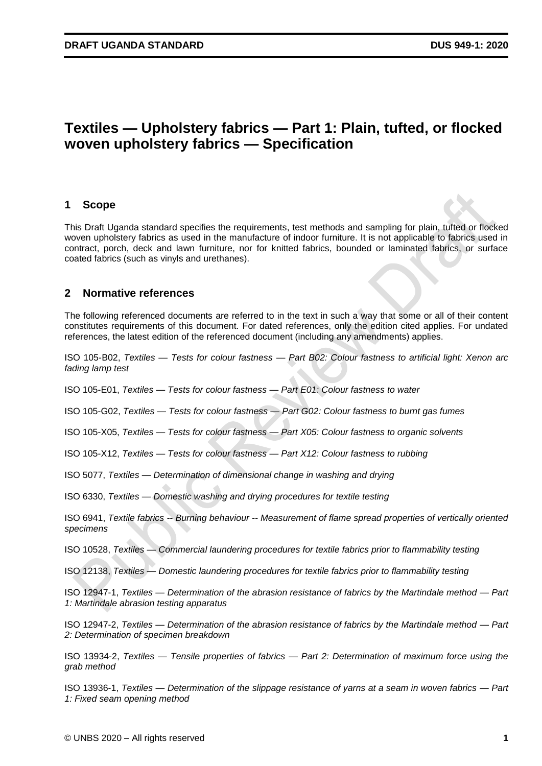# **Textiles — Upholstery fabrics — Part 1: Plain, tufted, or flocked woven upholstery fabrics — Specification**

#### **1 Scope**

This Draft Uganda standard specifies the requirements, test methods and sampling for plain, tufted or flocked woven upholstery fabrics as used in the manufacture of indoor furniture. It is not applicable to fabrics used in contract, porch, deck and lawn furniture, nor for knitted fabrics, bounded or laminated fabrics, or surface coated fabrics (such as vinyls and urethanes).

#### **2 Normative references**

The following referenced documents are referred to in the text in such a way that some or all of their content constitutes requirements of this document. For dated references, only the edition cited applies. For undated references, the latest edition of the referenced document (including any amendments) applies.

ISO 105-B02, *Textiles — Tests for colour fastness — Part B02: Colour fastness to artificial light: Xenon arc fading lamp test* 

ISO 105-E01, *Textiles — Tests for colour fastness — Part E01: Colour fastness to water* 

ISO 105-G02, *Textiles — Tests for colour fastness — Part G02: Colour fastness to burnt gas fumes* 

ISO 105-X05, *Textiles — Tests for colour fastness — Part X05: Colour fastness to organic solvents* 

ISO 105-X12, *Textiles — Tests for colour fastness — Part X12: Colour fastness to rubbing* 

ISO 5077, *Textiles — Determination of dimensional change in washing and drying* 

ISO 6330, *Textiles — Domestic washing and drying procedures for textile testing* 

ISO 6941, *Textile fabrics -- Burning behaviour -- Measurement of flame spread properties of vertically oriented specimens* 

ISO 10528, *Textiles — Commercial laundering procedures for textile fabrics prior to flammability testing* 

ISO 12138, *Textiles — Domestic laundering procedures for textile fabrics prior to flammability testing* 

ISO 12947-1, *Textiles — Determination of the abrasion resistance of fabrics by the Martindale method — Part 1: Martindale abrasion testing apparatus*

ISO 12947-2, *Textiles — Determination of the abrasion resistance of fabrics by the Martindale method — Part 2: Determination of specimen breakdown* 

ISO 13934-2, *Textiles — Tensile properties of fabrics — Part 2: Determination of maximum force using the grab method*

ISO 13936-1, *Textiles — Determination of the slippage resistance of yarns at a seam in woven fabrics — Part 1: Fixed seam opening method*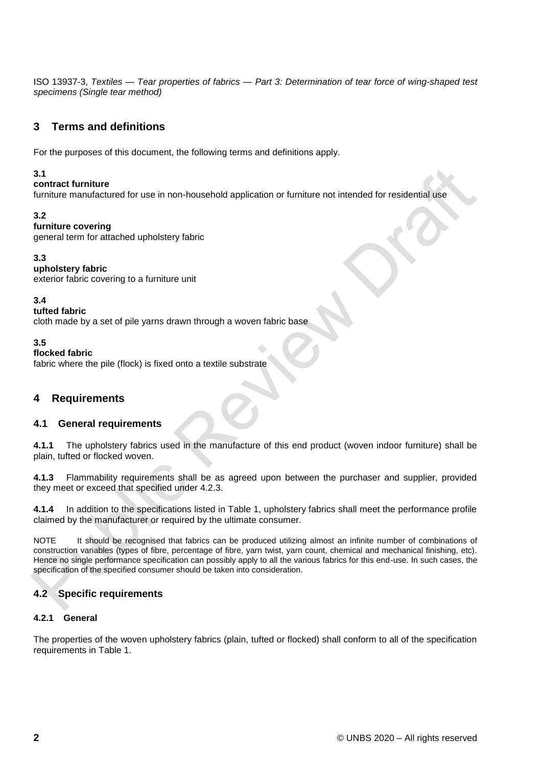ISO 13937-3, *Textiles — Tear properties of fabrics — Part 3: Determination of tear force of wing-shaped test specimens (Single tear method)*

## **3 Terms and definitions**

For the purposes of this document, the following terms and definitions apply.

#### **3.1**

#### **contract furniture**

furniture manufactured for use in non-household application or furniture not intended for residential use

#### **3.2**

#### **furniture covering**

general term for attached upholstery fabric

#### **3.3**

**upholstery fabric**  exterior fabric covering to a furniture unit

**3.4** 

#### **tufted fabric**

cloth made by a set of pile yarns drawn through a woven fabric base

**3.5** 

#### **flocked fabric**

fabric where the pile (flock) is fixed onto a textile substrate

### **4 Requirements**

#### **4.1 General requirements**

**4.1.1** The upholstery fabrics used in the manufacture of this end product (woven indoor furniture) shall be plain, tufted or flocked woven.

**4.1.3** Flammability requirements shall be as agreed upon between the purchaser and supplier, provided they meet or exceed that specified under 4.2.3.

**4.1.4** In addition to the specifications listed in Table 1, upholstery fabrics shall meet the performance profile claimed by the manufacturer or required by the ultimate consumer.

NOTE It should be recognised that fabrics can be produced utilizing almost an infinite number of combinations of construction variables (types of fibre, percentage of fibre, yarn twist, yarn count, chemical and mechanical finishing, etc). Hence no single performance specification can possibly apply to all the various fabrics for this end-use. In such cases, the specification of the specified consumer should be taken into consideration.

#### **4.2 Specific requirements**

#### **4.2.1 General**

The properties of the woven upholstery fabrics (plain, tufted or flocked) shall conform to all of the specification requirements in Table 1.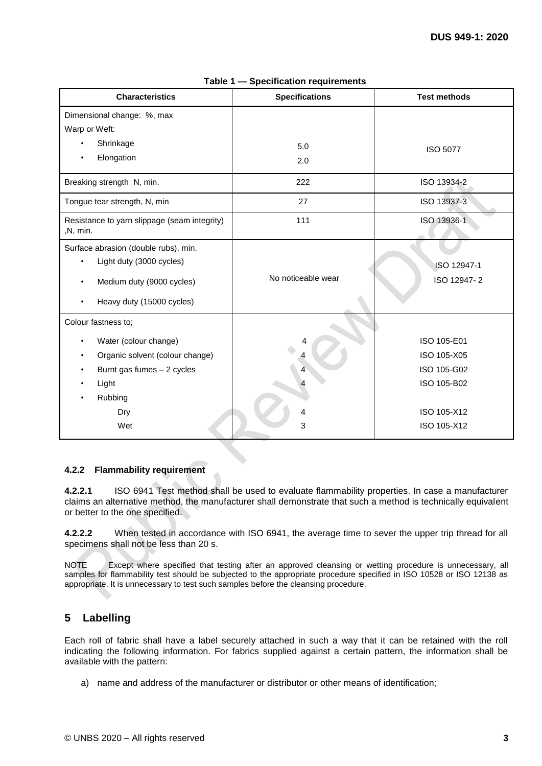| <b>Characteristics</b>                                   | <b>Specifications</b> | <b>Test methods</b> |
|----------------------------------------------------------|-----------------------|---------------------|
| Dimensional change: %, max                               |                       |                     |
| Warp or Weft:                                            |                       |                     |
| Shrinkage<br>٠                                           | 5.0                   | <b>ISO 5077</b>     |
| Elongation                                               | 2.0                   |                     |
| Breaking strength N, min.                                | 222                   | ISO 13934-2         |
| Tongue tear strength, N, min                             | 27                    | ISO 13937-3         |
| Resistance to yarn slippage (seam integrity)<br>,N, min. | 111                   | ISO 13936-1         |
| Surface abrasion (double rubs), min.                     |                       |                     |
| Light duty (3000 cycles)<br>$\bullet$                    |                       | ISO 12947-1         |
| Medium duty (9000 cycles)                                | No noticeable wear    | ISO 12947-2         |
| Heavy duty (15000 cycles)                                |                       |                     |
| Colour fastness to;                                      |                       |                     |
| Water (colour change)                                    |                       | ISO 105-E01         |
| Organic solvent (colour change)                          |                       | ISO 105-X05         |
| Burnt gas fumes - 2 cycles                               |                       | ISO 105-G02         |
| Light                                                    |                       | ISO 105-B02         |
| Rubbing                                                  |                       |                     |
| Dry                                                      |                       | ISO 105-X12         |
| Wet                                                      | 3                     | ISO 105-X12         |

**Table 1 — Specification requirements** 

#### **4.2.2 Flammability requirement**

**4.2.2.1** ISO 6941 Test method shall be used to evaluate flammability properties. In case a manufacturer claims an alternative method, the manufacturer shall demonstrate that such a method is technically equivalent or better to the one specified.

**4.2.2.2** When tested in accordance with ISO 6941, the average time to sever the upper trip thread for all specimens shall not be less than 20 s.

NOTE Except where specified that testing after an approved cleansing or wetting procedure is unnecessary, all samples for flammability test should be subjected to the appropriate procedure specified in ISO 10528 or ISO 12138 as appropriate. It is unnecessary to test such samples before the cleansing procedure.

### **5 Labelling**

Each roll of fabric shall have a label securely attached in such a way that it can be retained with the roll indicating the following information. For fabrics supplied against a certain pattern, the information shall be available with the pattern:

a) name and address of the manufacturer or distributor or other means of identification;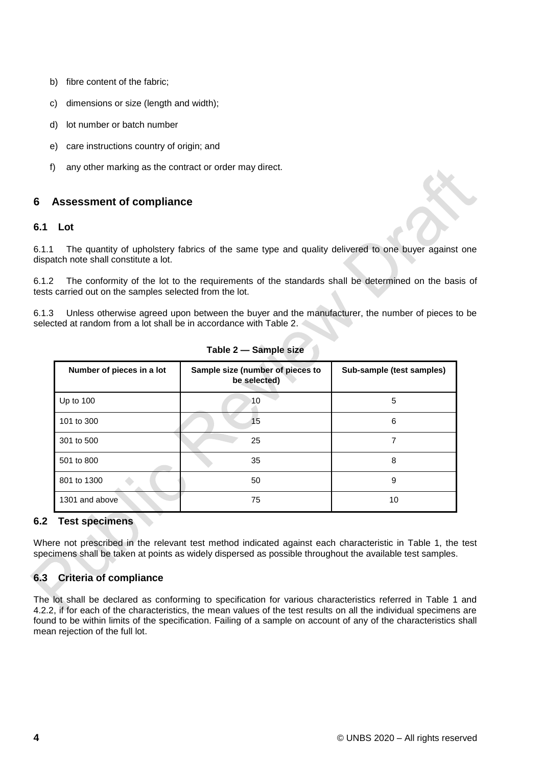- b) fibre content of the fabric;
- c) dimensions or size (length and width);
- d) lot number or batch number
- e) care instructions country of origin; and
- f) any other marking as the contract or order may direct.

### **6 Assessment of compliance**

#### **6.1 Lot**

6.1.1 The quantity of upholstery fabrics of the same type and quality delivered to one buyer against one dispatch note shall constitute a lot.

6.1.2 The conformity of the lot to the requirements of the standards shall be determined on the basis of tests carried out on the samples selected from the lot.

6.1.3 Unless otherwise agreed upon between the buyer and the manufacturer, the number of pieces to be selected at random from a lot shall be in accordance with Table 2.

| Number of pieces in a lot | Sample size (number of pieces to<br>be selected) | Sub-sample (test samples) |
|---------------------------|--------------------------------------------------|---------------------------|
| Up to $100$               | 10                                               | 5                         |
| 101 to 300                | 15                                               | 6                         |
| 301 to 500                | 25                                               | 7                         |
| 501 to 800                | 35                                               | 8                         |
| 801 to 1300               | 50                                               | 9                         |
| 1301 and above            | 75                                               | 10                        |

**Table 2 — Sample size** 

#### **6.2 Test specimens**

Where not prescribed in the relevant test method indicated against each characteristic in Table 1, the test specimens shall be taken at points as widely dispersed as possible throughout the available test samples.

## **6.3 Criteria of compliance**

The lot shall be declared as conforming to specification for various characteristics referred in Table 1 and 4.2.2, if for each of the characteristics, the mean values of the test results on all the individual specimens are found to be within limits of the specification. Failing of a sample on account of any of the characteristics shall mean rejection of the full lot.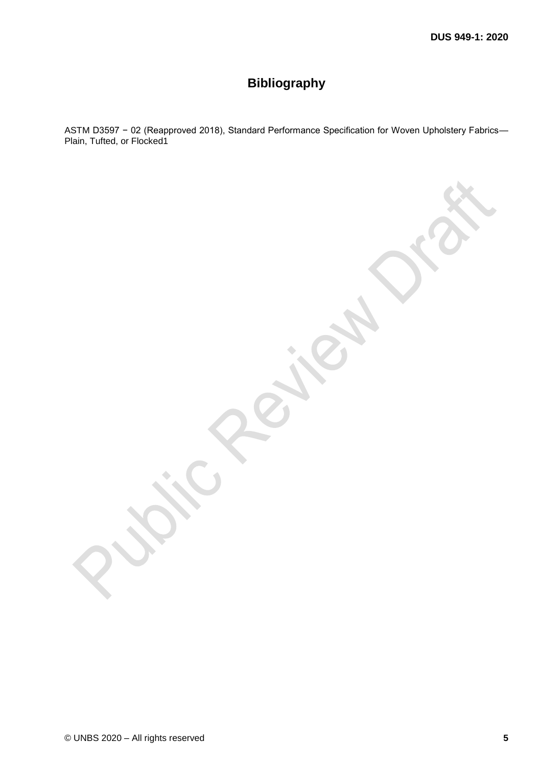# **Bibliography**

ASTM D3597 − 02 (Reapproved 2018), Standard Performance Specification for Woven Upholstery Fabrics— Plain, Tufted, or Flocked1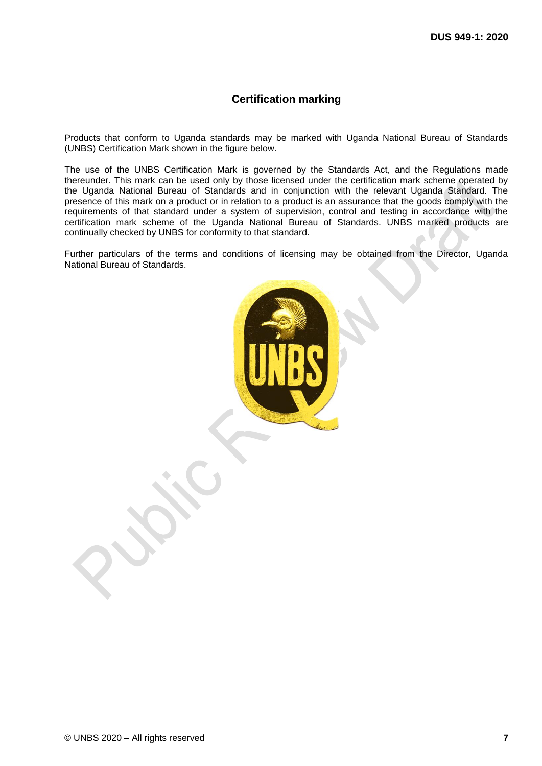#### **Certification marking**

Products that conform to Uganda standards may be marked with Uganda National Bureau of Standards (UNBS) Certification Mark shown in the figure below.

The use of the UNBS Certification Mark is governed by the Standards Act, and the Regulations made thereunder. This mark can be used only by those licensed under the certification mark scheme operated by the Uganda National Bureau of Standards and in conjunction with the relevant Uganda Standard. The presence of this mark on a product or in relation to a product is an assurance that the goods comply with the requirements of that standard under a system of supervision, control and testing in accordance with the certification mark scheme of the Uganda National Bureau of Standards. UNBS marked products are continually checked by UNBS for conformity to that standard.

Further particulars of the terms and conditions of licensing may be obtained from the Director, Uganda National Bureau of Standards.